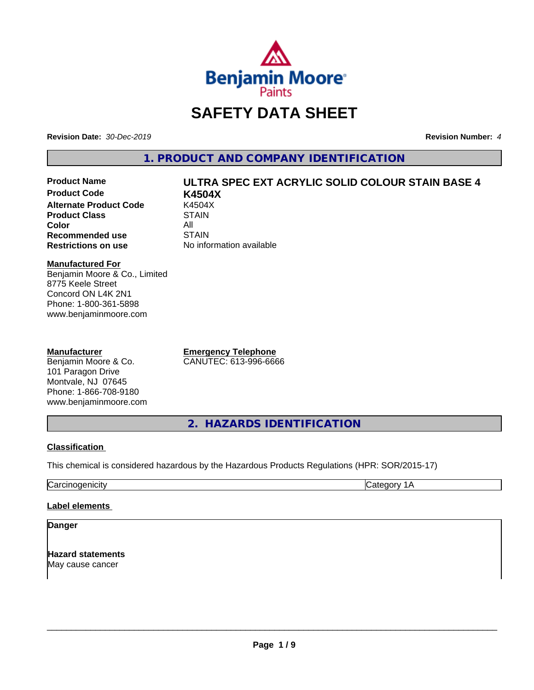

## **SAFETY DATA SHEET**

**Revision Date:** *30-Dec-2019* **Revision Number:** *4*

**1. PRODUCT AND COMPANY IDENTIFICATION**

**Product Code K4504X Alternate Product Code 6 K4504**<br>Product Class **COVER STAIN Product Class Color** All All<br>**Recommended use** STAIN **Recommended use**<br>Restrictions on use

# **Product Name ULTRA SPEC EXT ACRYLIC SOLID COLOUR STAIN BASE 4**

**No information available** 

#### **Manufactured For**

Benjamin Moore & Co., Limited 8775 Keele Street Concord ON L4K 2N1 Phone: 1-800-361-5898 www.benjaminmoore.com

#### **Manufacturer**

Benjamin Moore & Co. 101 Paragon Drive Montvale, NJ 07645 Phone: 1-866-708-9180 www.benjaminmoore.com **Emergency Telephone** CANUTEC: 613-996-6666

**2. HAZARDS IDENTIFICATION**

#### **Classification**

This chemical is considered hazardous by the Hazardous Products Regulations (HPR: SOR/2015-17)

Carcinogenicity Category 1A

#### **Label elements**

#### **Danger**

**Hazard statements** May cause cancer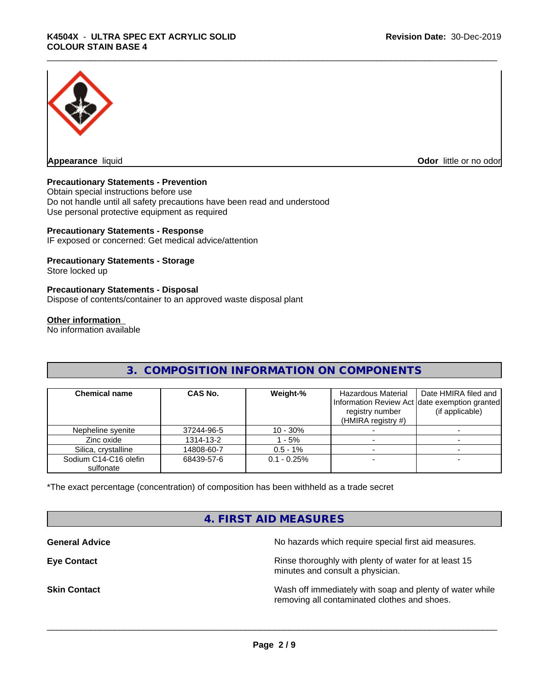

**Appearance** liquid **CODO** *Appearance liquid* **Odor** *CODO CODO* **<b>***CODO CODO CODO CODO CODO* 

#### **Precautionary Statements - Prevention**

Obtain special instructions before use Do not handle until all safety precautions have been read and understood Use personal protective equipment as required

#### **Precautionary Statements - Response**

IF exposed or concerned: Get medical advice/attention

#### **Precautionary Statements - Storage**

Store locked up

#### **Precautionary Statements - Disposal**

Dispose of contents/container to an approved waste disposal plant

#### **Other information**

No information available

#### **3. COMPOSITION INFORMATION ON COMPONENTS**

| <b>Chemical name</b>               | CAS No.    | Weight-%      | Hazardous Material<br>registry number<br>(HMIRA registry $#$ ) | Date HMIRA filed and<br>Information Review Act date exemption granted<br>(if applicable) |
|------------------------------------|------------|---------------|----------------------------------------------------------------|------------------------------------------------------------------------------------------|
| Nepheline syenite                  | 37244-96-5 | $10 - 30%$    |                                                                |                                                                                          |
| Zinc oxide                         | 1314-13-2  | - 5%          |                                                                |                                                                                          |
| Silica, crystalline                | 14808-60-7 | $0.5 - 1\%$   |                                                                |                                                                                          |
| Sodium C14-C16 olefin<br>sulfonate | 68439-57-6 | $0.1 - 0.25%$ |                                                                |                                                                                          |

\*The exact percentage (concentration) of composition has been withheld as a trade secret

#### **4. FIRST AID MEASURES**

**General Advice General Advice No hazards which require special first aid measures.** 

**Eye Contact Exercise 2.1 All 2.5 All 2.5 All 2.6 All 2.6 All 2.6 All 2.6 All 2.6 All 2.6 All 2.6 All 2.6 All 2.6 All 2.6 All 2.6 All 2.6 All 2.6 All 2.6 All 2.6 All 2.6 All 2.6 All 2.6 All 2.6 All 2.6 All 2.6 All 2.6 Al** minutes and consult a physician.

**Skin Contact** Same of the Mash off immediately with soap and plenty of water while removing all contaminated clothes and shoes.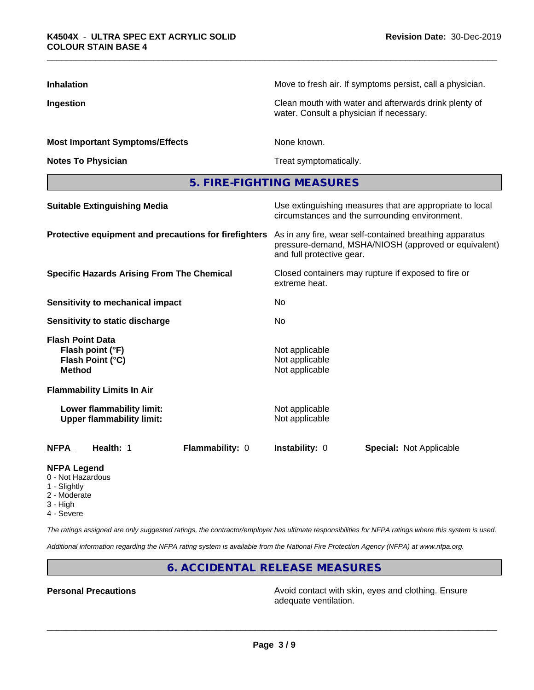| <b>Inhalation</b>                                                                | Move to fresh air. If symptoms persist, call a physician.                                                                                    |
|----------------------------------------------------------------------------------|----------------------------------------------------------------------------------------------------------------------------------------------|
| Ingestion                                                                        | Clean mouth with water and afterwards drink plenty of<br>water. Consult a physician if necessary.                                            |
| <b>Most Important Symptoms/Effects</b>                                           | None known.                                                                                                                                  |
| <b>Notes To Physician</b>                                                        | Treat symptomatically.                                                                                                                       |
|                                                                                  | 5. FIRE-FIGHTING MEASURES                                                                                                                    |
| <b>Suitable Extinguishing Media</b>                                              | Use extinguishing measures that are appropriate to local<br>circumstances and the surrounding environment.                                   |
| Protective equipment and precautions for firefighters                            | As in any fire, wear self-contained breathing apparatus<br>pressure-demand, MSHA/NIOSH (approved or equivalent)<br>and full protective gear. |
| <b>Specific Hazards Arising From The Chemical</b>                                | Closed containers may rupture if exposed to fire or<br>extreme heat.                                                                         |
| <b>Sensitivity to mechanical impact</b>                                          | No                                                                                                                                           |
| Sensitivity to static discharge                                                  | No                                                                                                                                           |
| <b>Flash Point Data</b><br>Flash point (°F)<br>Flash Point (°C)<br><b>Method</b> | Not applicable<br>Not applicable<br>Not applicable                                                                                           |
| <b>Flammability Limits In Air</b>                                                |                                                                                                                                              |
| Lower flammability limit:<br><b>Upper flammability limit:</b>                    | Not applicable<br>Not applicable                                                                                                             |
| Flammability: 0<br><b>NFPA</b><br>Health: 1                                      | Instability: 0<br><b>Special: Not Applicable</b>                                                                                             |
| NEDA Logand                                                                      |                                                                                                                                              |

#### **NFPA Legend**

- 0 Not Hazardous
- 1 Slightly
- 2 Moderate
- 3 High
- 4 Severe

*The ratings assigned are only suggested ratings, the contractor/employer has ultimate responsibilities for NFPA ratings where this system is used.*

*Additional information regarding the NFPA rating system is available from the National Fire Protection Agency (NFPA) at www.nfpa.org.*

### **6. ACCIDENTAL RELEASE MEASURES**

**Personal Precautions Avoid contact with skin, eyes and clothing. Ensure** Avoid contact with skin, eyes and clothing. Ensure adequate ventilation.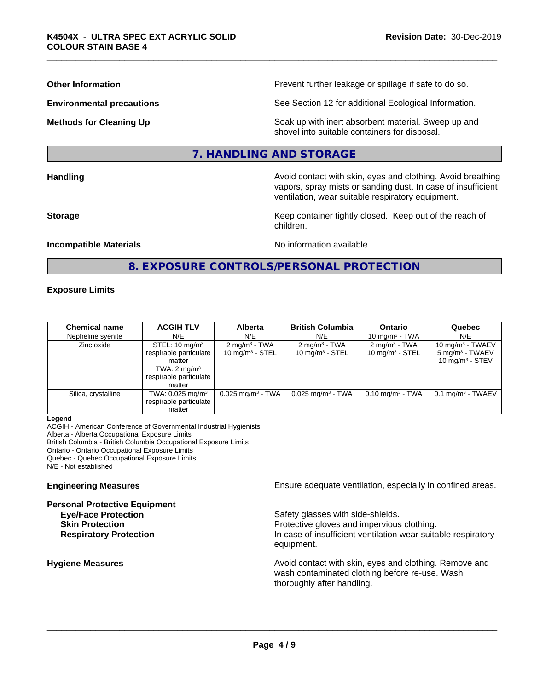**Other Information Determined Information Prevent further leakage or spillage if safe to do so.** 

**Environmental precautions** See Section 12 for additional Ecological Information.

**Methods for Cleaning Up Example 20 All 20 All 20 All 20 Soak** up with inert absorbent material. Sweep up and shovel into suitable containers for disposal.

#### **7. HANDLING AND STORAGE**

**Handling Handling Avoid contact with skin, eyes and clothing. Avoid breathing** vapors, spray mists or sanding dust. In case of insufficient ventilation, wear suitable respiratory equipment.

**Storage Keep container tightly closed. Keep out of the reach of Keep** container tightly closed. Keep out of the reach of children.

#### **Incompatible Materials Incompatible Materials No information available**

#### **8. EXPOSURE CONTROLS/PERSONAL PROTECTION**

#### **Exposure Limits**

| <b>Chemical name</b> | <b>ACGIH TLV</b>             | <b>Alberta</b>                  | <b>British Columbia</b>         | <b>Ontario</b>           | Quebec                       |
|----------------------|------------------------------|---------------------------------|---------------------------------|--------------------------|------------------------------|
| Nepheline syenite    | N/E                          | N/E                             | N/E                             | 10 mg/m $3$ - TWA        | N/E                          |
| Zinc oxide           | STEL: $10 \text{ mg/m}^3$    | $2 \text{ mg/m}^3$ - TWA        | $2 \text{ mg/m}^3$ - TWA        | $2 \text{ mg/m}^3$ - TWA | $10 \text{ mg/m}^3$ - TWAEV  |
|                      | respirable particulate       | 10 $mq/m3$ - STEL               | 10 $mq/m3$ - STEL               | 10 mg/m $3 -$ STEL       | $5 \text{ mg/m}^3$ - TWAEV   |
|                      | matter                       |                                 |                                 |                          | 10 mg/m $3 -$ STEV           |
|                      | TWA: $2 \text{ mg/m}^3$      |                                 |                                 |                          |                              |
|                      | respirable particulate       |                                 |                                 |                          |                              |
|                      | matter                       |                                 |                                 |                          |                              |
| Silica, crystalline  | TWA: 0.025 mg/m <sup>3</sup> | $0.025$ mg/m <sup>3</sup> - TWA | $0.025$ mg/m <sup>3</sup> - TWA | $0.10$ mg/m $3 - TWA$    | $0.1 \text{ mg/m}^3$ - TWAEV |
|                      | respirable particulate       |                                 |                                 |                          |                              |
|                      | matter                       |                                 |                                 |                          |                              |

#### **Legend**

ACGIH - American Conference of Governmental Industrial Hygienists

Alberta - Alberta Occupational Exposure Limits

British Columbia - British Columbia Occupational Exposure Limits

Ontario - Ontario Occupational Exposure Limits

Quebec - Quebec Occupational Exposure Limits

N/E - Not established

#### **Personal Protective Equipment**

**Engineering Measures Ensure adequate ventilation, especially in confined areas.** 

**Eye/Face Protection** Safety glasses with side-shields. **Skin Protection Protection Protective gloves and impervious clothing. Respiratory Protection In case of insufficient ventilation wear suitable respiratory** equipment.

**Hygiene Measures Avoid contact with skin, eyes and clothing. Remove and Avoid contact with skin, eyes and clothing. Remove and Avoid contact with skin, eyes and clothing. Remove and** wash contaminated clothing before re-use. Wash thoroughly after handling.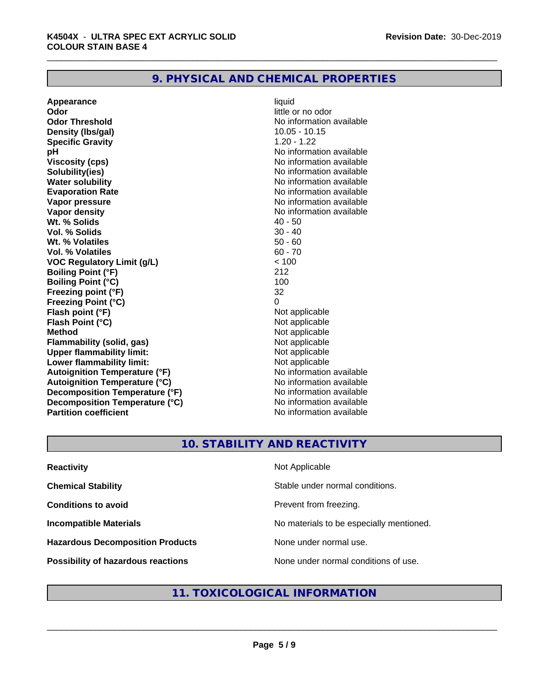#### **9. PHYSICAL AND CHEMICAL PROPERTIES**

**Appearance** liquid **Odor** little or no odor **Odor Threshold No information available No information available Density (lbs/gal)** 10.05 - 10.15 **Specific Gravity** 1.20 - 1.22 **pH** No information available **Viscosity (cps)** No information available **Solubility(ies)** No information available **Water solubility**<br> **Evaporation Rate**<br> **Evaporation Rate**<br> **Evaporation Rate Vapor pressure** No information available **Vapor density**<br> **We Solids** (*We Solids* ) (*We Solids* ) (*We Solids* ) (*Me Solids* ) (*Me Solids* ) (*Me Solids* ) (*Me Solids* ) (*Me Solids* ) (*Me Solids* ) (*Me Solids* ) (*Me Solids* ) (*Me Solids* ) (*Me Solids* **Wt. % Solids** 40 - 50<br> **Vol. % Solids** 30 - 40 **Vol. % Solids Wt. % Volatiles** 50 - 60 **Vol. % Volatiles** 60 - 70 **VOC Regulatory Limit (g/L)** < 100 **Boiling Point (°F)** 212 **Boiling Point (°C)** 100 **Freezing point (°F)** 32 **Freezing Point (°C)** 0 **Flash point (°F)** Not applicable **Flash Point (°C)** Not applicable **Method** Not applicable **Flammability (solid, gas)** Not applicable **Upper flammability limit:** Not applicable **Lower flammability limit:**<br> **Autoignition Temperature (°F)** Not applicable havailable available **Autoignition Temperature (°F) Autoignition Temperature (°C)**<br> **Decomposition Temperature (°F)** No information available **Decomposition Temperature (°F) Decomposition Temperature (°C)** No information available **Partition coefficient Contract Contract Contract Contract Contract Contract Contract Contract Contract Contract Contract Contract Contract Contract Contract Contract Contract Contract Contract Contract Contract Contract** 

**No information available** 

## **10. STABILITY AND REACTIVITY**

| <b>Reactivity</b>                       | Not Applicable                           |
|-----------------------------------------|------------------------------------------|
| <b>Chemical Stability</b>               | Stable under normal conditions.          |
| <b>Conditions to avoid</b>              | Prevent from freezing.                   |
| <b>Incompatible Materials</b>           | No materials to be especially mentioned. |
| <b>Hazardous Decomposition Products</b> | None under normal use.                   |
| Possibility of hazardous reactions      | None under normal conditions of use.     |

#### **11. TOXICOLOGICAL INFORMATION**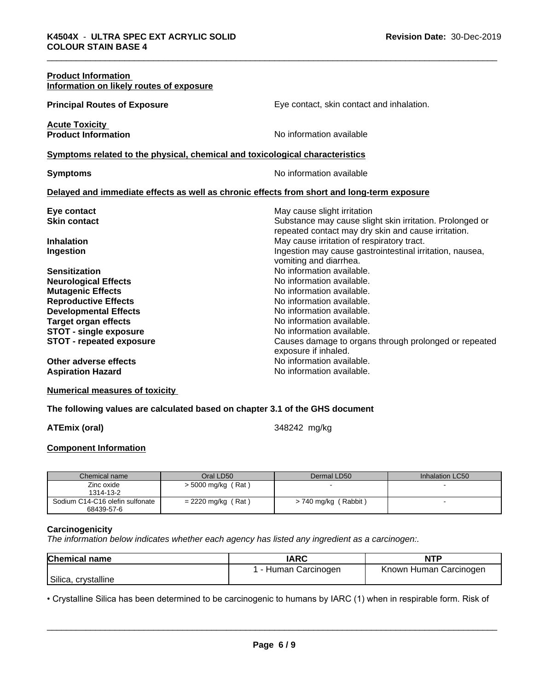| <b>Product Information</b><br>Information on likely routes of exposure                                                                                                                                                                            |                                                                                                                                                                                                                                                                                          |
|---------------------------------------------------------------------------------------------------------------------------------------------------------------------------------------------------------------------------------------------------|------------------------------------------------------------------------------------------------------------------------------------------------------------------------------------------------------------------------------------------------------------------------------------------|
| <b>Principal Routes of Exposure</b>                                                                                                                                                                                                               | Eye contact, skin contact and inhalation.                                                                                                                                                                                                                                                |
| <b>Acute Toxicity</b><br><b>Product Information</b>                                                                                                                                                                                               | No information available                                                                                                                                                                                                                                                                 |
| Symptoms related to the physical, chemical and toxicological characteristics                                                                                                                                                                      |                                                                                                                                                                                                                                                                                          |
| <b>Symptoms</b>                                                                                                                                                                                                                                   | No information available                                                                                                                                                                                                                                                                 |
| Delayed and immediate effects as well as chronic effects from short and long-term exposure                                                                                                                                                        |                                                                                                                                                                                                                                                                                          |
| Eye contact<br><b>Skin contact</b>                                                                                                                                                                                                                | May cause slight irritation<br>Substance may cause slight skin irritation. Prolonged or<br>repeated contact may dry skin and cause irritation.                                                                                                                                           |
| <b>Inhalation</b><br>Ingestion                                                                                                                                                                                                                    | May cause irritation of respiratory tract.<br>Ingestion may cause gastrointestinal irritation, nausea,<br>vomiting and diarrhea.                                                                                                                                                         |
| <b>Sensitization</b><br><b>Neurological Effects</b><br><b>Mutagenic Effects</b><br><b>Reproductive Effects</b><br><b>Developmental Effects</b><br><b>Target organ effects</b><br><b>STOT - single exposure</b><br><b>STOT - repeated exposure</b> | No information available.<br>No information available.<br>No information available.<br>No information available.<br>No information available.<br>No information available.<br>No information available.<br>Causes damage to organs through prolonged or repeated<br>exposure if inhaled. |
| Other adverse effects<br><b>Aspiration Hazard</b>                                                                                                                                                                                                 | No information available.<br>No information available.                                                                                                                                                                                                                                   |

**Numerical measures of toxicity**

#### **The following values are calculated based on chapter 3.1 of the GHS document**

**ATEmix (oral)** 348242 mg/kg

#### **Component Information**

| Chemical name                   | Oral LD50            | Dermal LD50               | Inhalation LC50 |
|---------------------------------|----------------------|---------------------------|-----------------|
| Zinc oxide                      | $>$ 5000 mg/kg (Rat) |                           |                 |
| 1314-13-2                       |                      |                           |                 |
| Sodium C14-C16 olefin sulfonate | $= 2220$ mg/kg (Rat) | (Rabbit)<br>> 740 mg/kg ( |                 |
| 68439-57-6                      |                      |                           |                 |

#### **Carcinogenicity**

*The information below indicateswhether each agency has listed any ingredient as a carcinogen:.*

| <b>Chemical name</b>   | <b>IARC</b>        | <b>NTP</b>             |
|------------------------|--------------------|------------------------|
|                        | - Human Carcinogen | Known Human Carcinogen |
| Silica,<br>crystalline |                    |                        |

**•** Crystalline Silica has been determined to be carcinogenic to humans by IARC (1) when in respirable form. Risk of<br> **Page 6/9**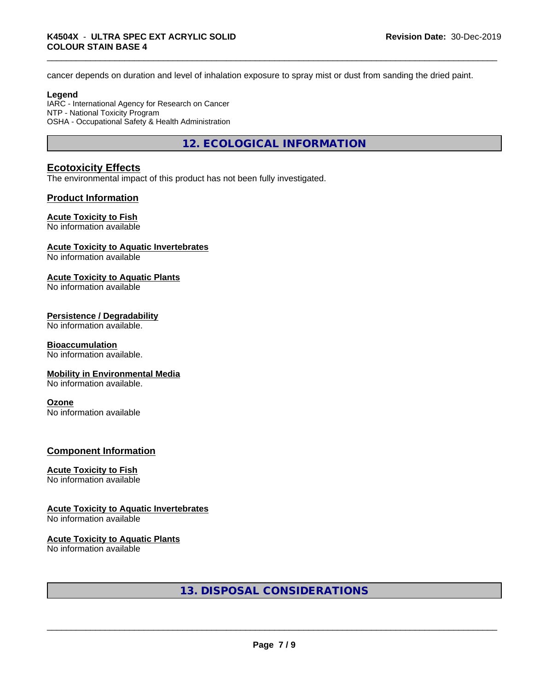cancer depends on duration and level of inhalation exposure to spray mist or dust from sanding the dried paint.

#### **Legend**

IARC - International Agency for Research on Cancer NTP - National Toxicity Program OSHA - Occupational Safety & Health Administration

**12. ECOLOGICAL INFORMATION**

#### **Ecotoxicity Effects**

The environmental impact of this product has not been fully investigated.

#### **Product Information**

#### **Acute Toxicity to Fish**

No information available

#### **Acute Toxicity to Aquatic Invertebrates**

No information available

#### **Acute Toxicity to Aquatic Plants**

No information available

#### **Persistence / Degradability**

No information available.

#### **Bioaccumulation**

No information available.

#### **Mobility in Environmental Media**

No information available.

#### **Ozone**

No information available

#### **Component Information**

#### **Acute Toxicity to Fish**

No information available

#### **Acute Toxicity to Aquatic Invertebrates**

No information available

#### **Acute Toxicity to Aquatic Plants**

No information available

#### **13. DISPOSAL CONSIDERATIONS**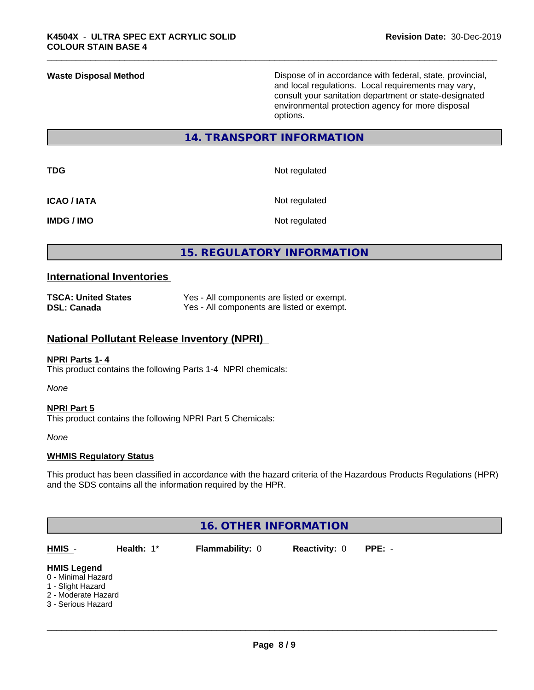**Waste Disposal Method Dispose of in accordance with federal, state, provincial,** and local regulations. Local requirements may vary, consult your sanitation department or state-designated environmental protection agency for more disposal options.

#### **14. TRANSPORT INFORMATION**

**TDG** Not regulated

**ICAO / IATA** Not regulated

**IMDG / IMO** Not regulated

#### **15. REGULATORY INFORMATION**

#### **International Inventories**

| <b>TSCA: United States</b> | Yes - All components are listed or exempt. |
|----------------------------|--------------------------------------------|
| <b>DSL: Canada</b>         | Yes - All components are listed or exempt. |

#### **National Pollutant Release Inventory (NPRI)**

#### **NPRI Parts 1- 4**

This product contains the following Parts 1-4 NPRI chemicals:

*None*

#### **NPRI Part 5** This product contains the following NPRI Part 5 Chemicals:

*None*

#### **WHMIS Regulatory Status**

This product has been classified in accordance with the hazard criteria of the Hazardous Products Regulations (HPR) and the SDS contains all the information required by the HPR.

|                                          |            | <b>16. OTHER INFORMATION</b> |                      |          |  |
|------------------------------------------|------------|------------------------------|----------------------|----------|--|
| HMIS -                                   | Health: 1* | Flammability: 0              | <b>Reactivity: 0</b> | $PPE: -$ |  |
| <b>HMIS Legend</b><br>0 - Minimal Hazard |            |                              |                      |          |  |
| 1 - Slight Hazard<br>2 - Moderate Hazard |            |                              |                      |          |  |
| 3 - Serious Hazard                       |            |                              |                      |          |  |